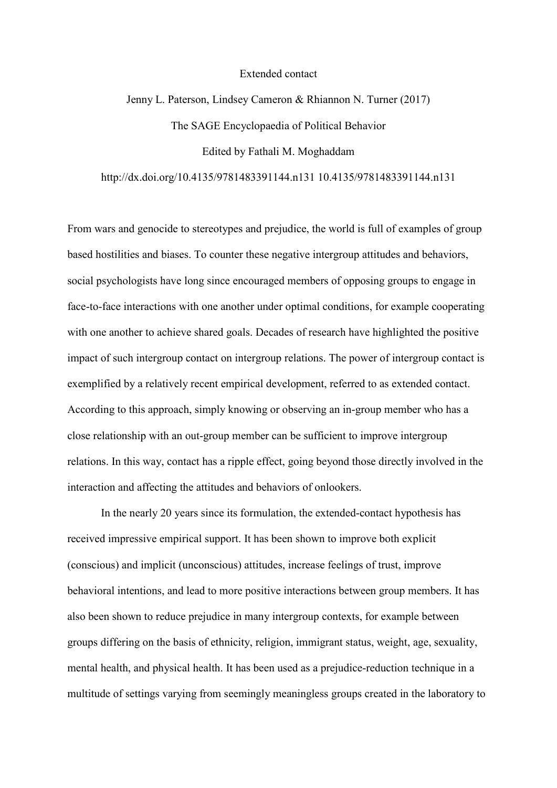## Extended contact

## Jenny L. Paterson, Lindsey Cameron & Rhiannon N. Turner (2017) The SAGE Encyclopaedia of Political Behavior Edited by Fathali M. Moghaddam

http://dx.doi.org/10.4135/9781483391144.n131 10.4135/9781483391144.n131

From wars and genocide to stereotypes and prejudice, the world is full of examples of group based hostilities and biases. To counter these negative intergroup attitudes and behaviors, social psychologists have long since encouraged members of opposing groups to engage in face-to-face interactions with one another under optimal conditions, for example cooperating with one another to achieve shared goals. Decades of research have highlighted the positive impact of such intergroup contact on intergroup relations. The power of intergroup contact is exemplified by a relatively recent empirical development, referred to as extended contact. According to this approach, simply knowing or observing an in-group member who has a close relationship with an out-group member can be sufficient to improve intergroup relations. In this way, contact has a ripple effect, going beyond those directly involved in the interaction and affecting the attitudes and behaviors of onlookers.

 In the nearly 20 years since its formulation, the extended-contact hypothesis has received impressive empirical support. It has been shown to improve both explicit (conscious) and implicit (unconscious) attitudes, increase feelings of trust, improve behavioral intentions, and lead to more positive interactions between group members. It has also been shown to reduce prejudice in many intergroup contexts, for example between groups differing on the basis of ethnicity, religion, immigrant status, weight, age, sexuality, mental health, and physical health. It has been used as a prejudice-reduction technique in a multitude of settings varying from seemingly meaningless groups created in the laboratory to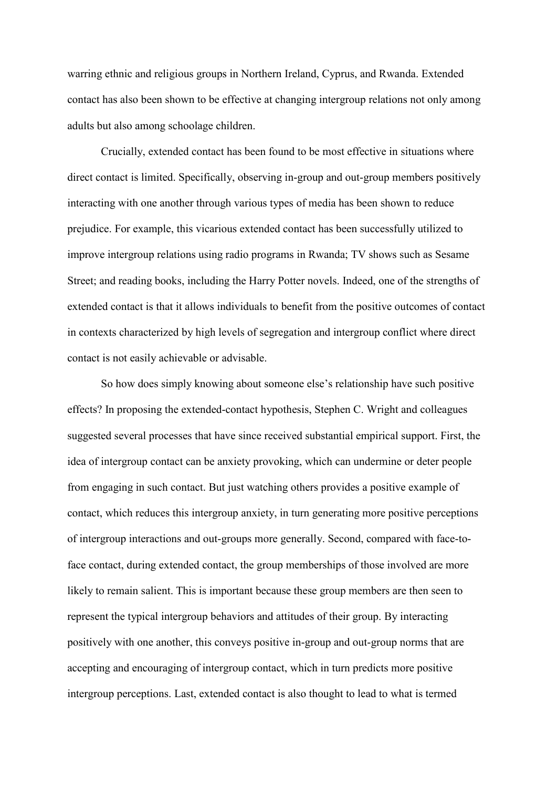warring ethnic and religious groups in Northern Ireland, Cyprus, and Rwanda. Extended contact has also been shown to be effective at changing intergroup relations not only among adults but also among schoolage children.

 Crucially, extended contact has been found to be most effective in situations where direct contact is limited. Specifically, observing in-group and out-group members positively interacting with one another through various types of media has been shown to reduce prejudice. For example, this vicarious extended contact has been successfully utilized to improve intergroup relations using radio programs in Rwanda; TV shows such as Sesame Street; and reading books, including the Harry Potter novels. Indeed, one of the strengths of extended contact is that it allows individuals to benefit from the positive outcomes of contact in contexts characterized by high levels of segregation and intergroup conflict where direct contact is not easily achievable or advisable.

 So how does simply knowing about someone else's relationship have such positive effects? In proposing the extended-contact hypothesis, Stephen C. Wright and colleagues suggested several processes that have since received substantial empirical support. First, the idea of intergroup contact can be anxiety provoking, which can undermine or deter people from engaging in such contact. But just watching others provides a positive example of contact, which reduces this intergroup anxiety, in turn generating more positive perceptions of intergroup interactions and out-groups more generally. Second, compared with face-toface contact, during extended contact, the group memberships of those involved are more likely to remain salient. This is important because these group members are then seen to represent the typical intergroup behaviors and attitudes of their group. By interacting positively with one another, this conveys positive in-group and out-group norms that are accepting and encouraging of intergroup contact, which in turn predicts more positive intergroup perceptions. Last, extended contact is also thought to lead to what is termed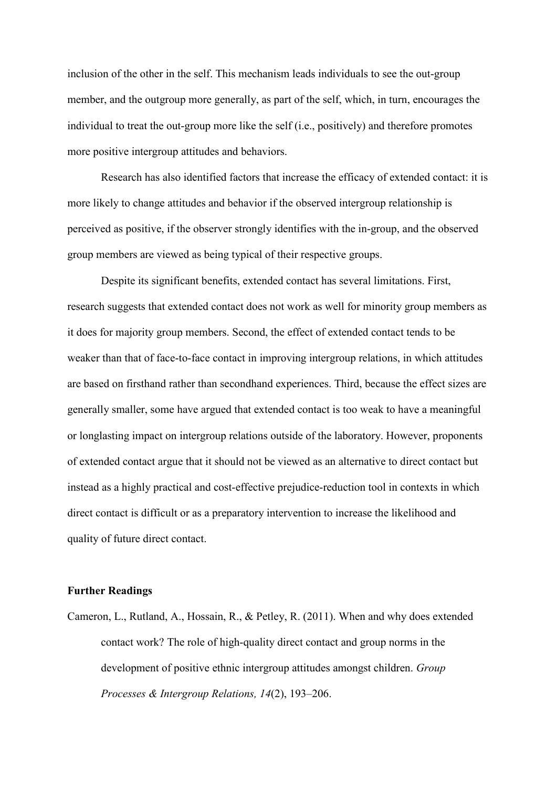inclusion of the other in the self. This mechanism leads individuals to see the out-group member, and the outgroup more generally, as part of the self, which, in turn, encourages the individual to treat the out-group more like the self (i.e., positively) and therefore promotes more positive intergroup attitudes and behaviors.

Research has also identified factors that increase the efficacy of extended contact: it is more likely to change attitudes and behavior if the observed intergroup relationship is perceived as positive, if the observer strongly identifies with the in-group, and the observed group members are viewed as being typical of their respective groups.

Despite its significant benefits, extended contact has several limitations. First, research suggests that extended contact does not work as well for minority group members as it does for majority group members. Second, the effect of extended contact tends to be weaker than that of face-to-face contact in improving intergroup relations, in which attitudes are based on firsthand rather than secondhand experiences. Third, because the effect sizes are generally smaller, some have argued that extended contact is too weak to have a meaningful or longlasting impact on intergroup relations outside of the laboratory. However, proponents of extended contact argue that it should not be viewed as an alternative to direct contact but instead as a highly practical and cost-effective prejudice-reduction tool in contexts in which direct contact is difficult or as a preparatory intervention to increase the likelihood and quality of future direct contact.

## **Further Readings**

Cameron, L., Rutland, A., Hossain, R., & Petley, R. (2011). When and why does extended contact work? The role of high-quality direct contact and group norms in the development of positive ethnic intergroup attitudes amongst children. *Group Processes & Intergroup Relations, 14*(2), 193–206.